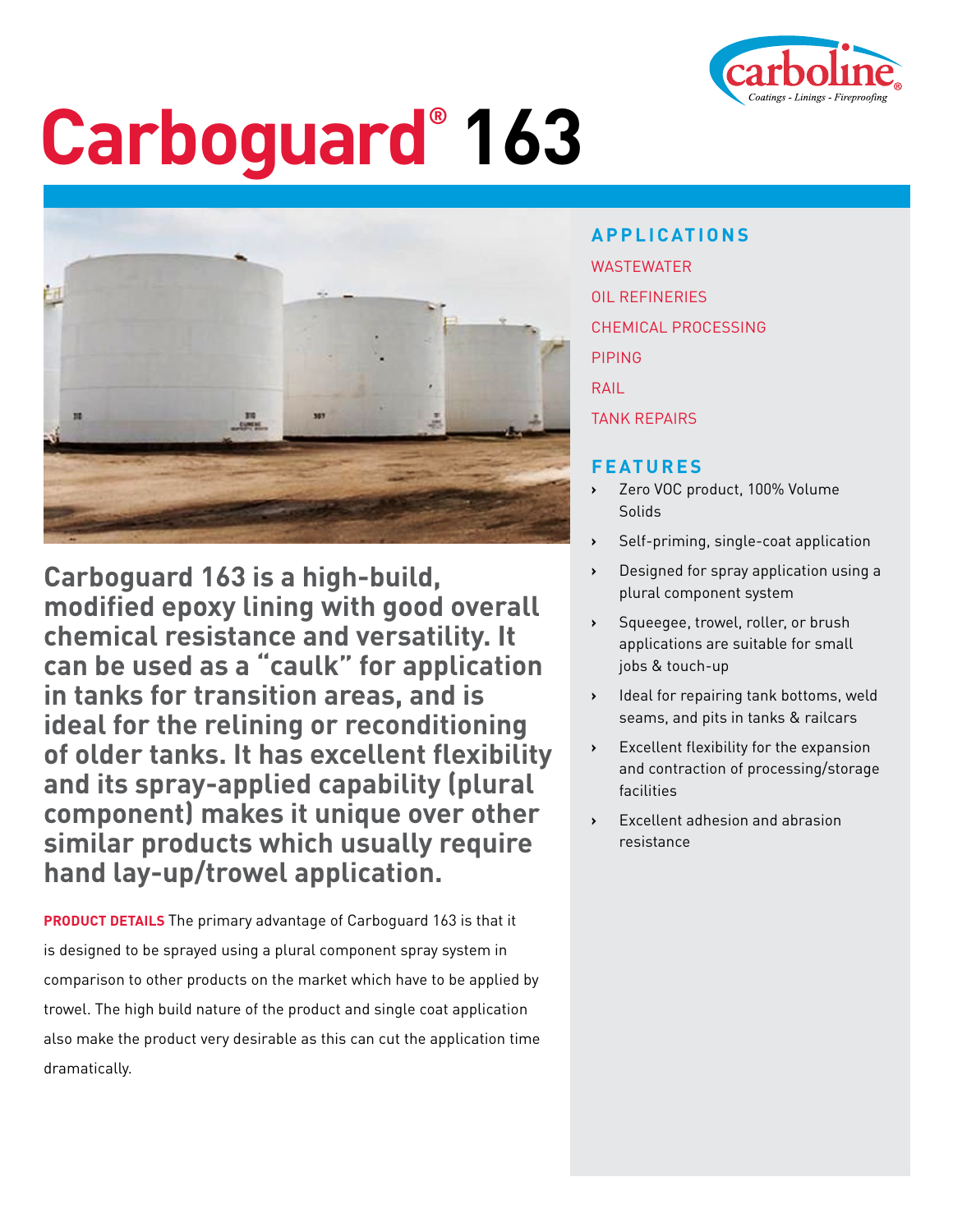

## **Carboguard® 163**



**Carboguard 163 is a high-build, modified epoxy lining with good overall chemical resistance and versatility. It can be used as a "caulk" for application in tanks for transition areas, and is ideal for the relining or reconditioning of older tanks. It has excellent flexibility and its spray-applied capability (plural component) makes it unique over other similar products which usually require hand lay-up/trowel application.** 

**PRODUCT DETAILS** The primary advantage of Carboguard 163 is that it is designed to be sprayed using a plural component spray system in comparison to other products on the market which have to be applied by trowel. The high build nature of the product and single coat application also make the product very desirable as this can cut the application time dramatically.

**APPLICATIONS** WASTEWATER OIL REFINERIES CHEMICAL PROCESSING PIPING RAIL TANK REPAIRS

## **FEATURES**

- **›** Zero VOC product, 100% Volume Solids
- **›** Self-priming, single-coat application
- **›** Designed for spray application using a plural component system
- **›** Squeegee, trowel, roller, or brush applications are suitable for small jobs & touch-up
- **›** Ideal for repairing tank bottoms, weld seams, and pits in tanks & railcars
- **›** Excellent flexibility for the expansion and contraction of processing/storage facilities
- **›** Excellent adhesion and abrasion resistance